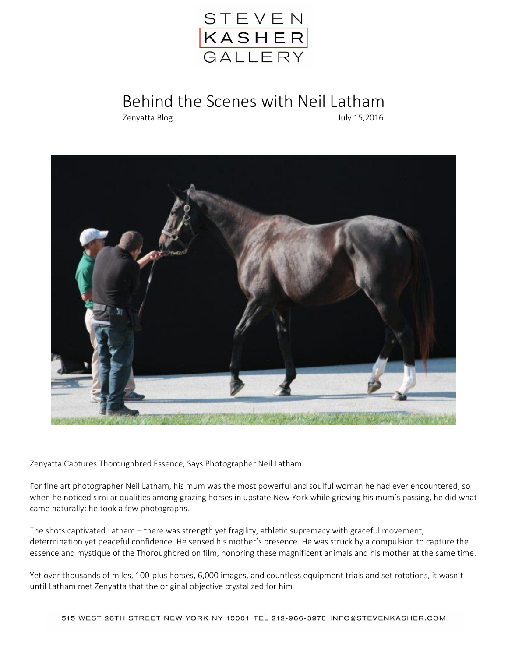

## Behind the Scenes with Neil Latham

Zenyatta Blog July 15,2016



Zenyatta Captures Thoroughbred Essence, Says Photographer Neil Latham

For fine art photographer Neil Latham, his mum was the most powerful and soulful woman he had ever encountered, so when he noticed similar qualities among grazing horses in upstate New York while grieving his mum's passing, he did what came naturally: he took a few photographs.

The shots captivated Latham – there was strength yet fragility, athletic supremacy with graceful movement, determination yet peaceful confidence. He sensed his mother's presence. He was struck by a compulsion to capture the essence and mystique of the Thoroughbred on film, honoring these magnificent animals and his mother at the same time.

Yet over thousands of miles, 100-plus horses, 6,000 images, and countless equipment trials and set rotations, it wasn't until Latham met Zenyatta that the original objective crystalized for him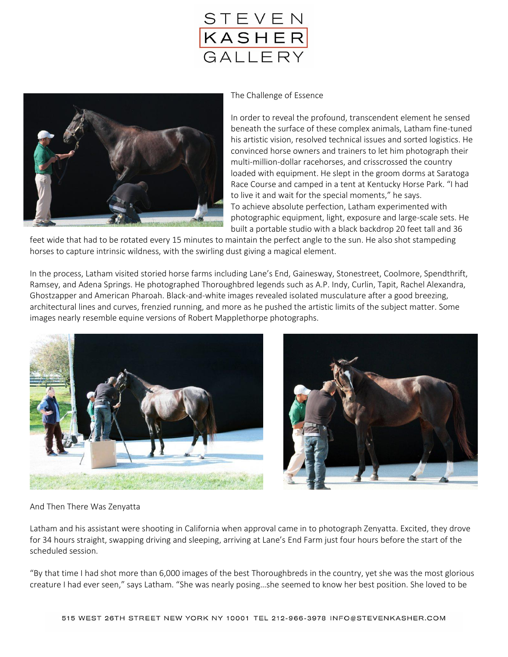



## The Challenge of Essence

In order to reveal the profound, transcendent element he sensed beneath the surface of these complex animals, Latham fine-tuned his artistic vision, resolved technical issues and sorted logistics. He convinced horse owners and trainers to let him photograph their multi-million-dollar racehorses, and crisscrossed the country loaded with equipment. He slept in the groom dorms at Saratoga Race Course and camped in a tent at Kentucky Horse Park. "I had to live it and wait for the special moments," he says. To achieve absolute perfection, Latham experimented with photographic equipment, light, exposure and large-scale sets. He built a portable studio with a black backdrop 20 feet tall and 36

feet wide that had to be rotated every 15 minutes to maintain the perfect angle to the sun. He also shot stampeding horses to capture intrinsic wildness, with the swirling dust giving a magical element.

In the process, Latham visited storied horse farms including Lane's End, Gainesway, Stonestreet, Coolmore, Spendthrift, Ramsey, and Adena Springs. He photographed Thoroughbred legends such as A.P. Indy, Curlin, Tapit, Rachel Alexandra, Ghostzapper and American Pharoah. Black-and-white images revealed isolated musculature after a good breezing, architectural lines and curves, frenzied running, and more as he pushed the artistic limits of the subject matter. Some images nearly resemble equine versions of Robert Mapplethorpe photographs.





## And Then There Was Zenyatta

Latham and his assistant were shooting in California when approval came in to photograph Zenyatta. Excited, they drove for 34 hours straight, swapping driving and sleeping, arriving at Lane's End Farm just four hours before the start of the scheduled session.

"By that time I had shot more than 6,000 images of the best Thoroughbreds in the country, yet she was the most glorious creature I had ever seen," says Latham. "She was nearly posing…she seemed to know her best position. She loved to be